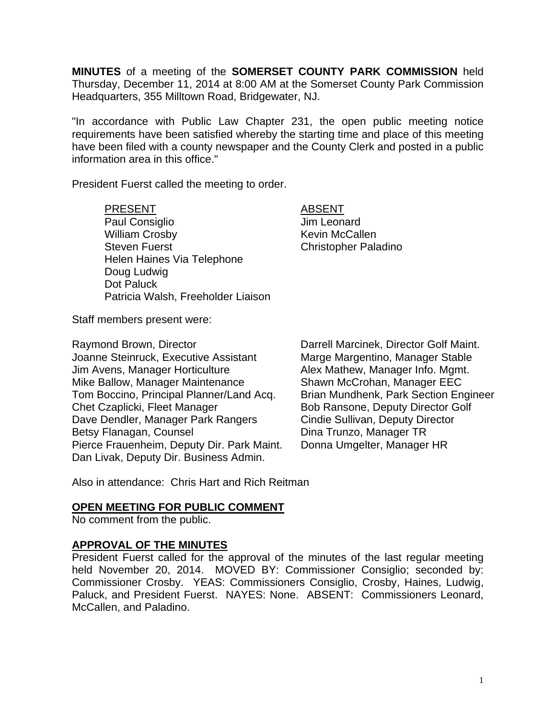**MINUTES** of a meeting of the **SOMERSET COUNTY PARK COMMISSION** held Thursday, December 11, 2014 at 8:00 AM at the Somerset County Park Commission Headquarters, 355 Milltown Road, Bridgewater, NJ.

"In accordance with Public Law Chapter 231, the open public meeting notice requirements have been satisfied whereby the starting time and place of this meeting have been filed with a county newspaper and the County Clerk and posted in a public information area in this office."

President Fuerst called the meeting to order.

#### PRESENT ABSENT

Paul Consiglio **Access 1** Jim Leonard William Crosby **Kevin McCallen** Steven Fuerst **Christopher Paladino** Helen Haines Via Telephone Doug Ludwig Dot Paluck Patricia Walsh, Freeholder Liaison

Staff members present were:

Raymond Brown, Director **National Example 20** Darrell Marcinek, Director Golf Maint. Joanne Steinruck, Executive Assistant Marge Margentino, Manager Stable Jim Avens, Manager Horticulture **Alex Mathew, Manager Info. Mgmt.** Mike Ballow, Manager Maintenance Shawn McCrohan, Manager EEC Tom Boccino, Principal Planner/Land Acq. Brian Mundhenk, Park Section Engineer Chet Czaplicki, Fleet Manager Bob Ransone, Deputy Director Golf Dave Dendler, Manager Park Rangers Cindie Sullivan, Deputy Director Betsy Flanagan, Counsel **Dina Trunzo, Manager TR**<br>Pierce Frauenheim, Deputy Dir. Park Maint. Donna Umgelter, Manager HR Pierce Frauenheim, Deputy Dir. Park Maint. Dan Livak, Deputy Dir. Business Admin.

Also in attendance: Chris Hart and Rich Reitman

### **OPEN MEETING FOR PUBLIC COMMENT**

No comment from the public.

### **APPROVAL OF THE MINUTES**

President Fuerst called for the approval of the minutes of the last regular meeting held November 20, 2014. MOVED BY: Commissioner Consiglio; seconded by: Commissioner Crosby. YEAS: Commissioners Consiglio, Crosby, Haines, Ludwig, Paluck, and President Fuerst. NAYES: None. ABSENT: Commissioners Leonard, McCallen, and Paladino.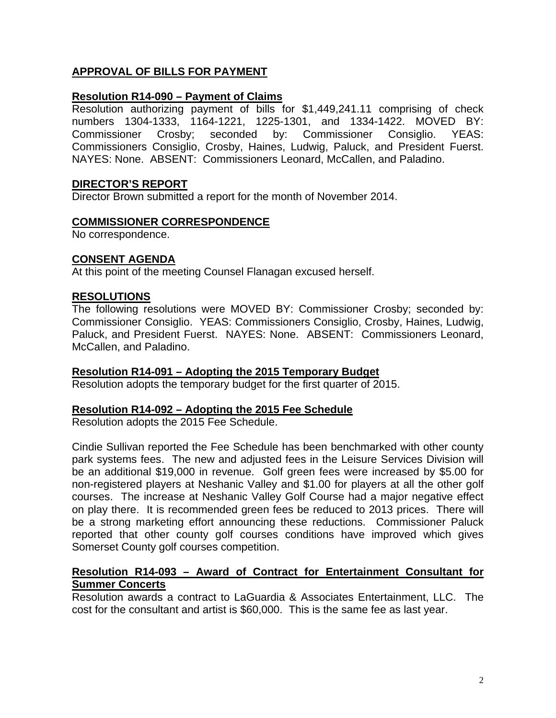# **APPROVAL OF BILLS FOR PAYMENT**

# **Resolution R14-090 – Payment of Claims**

Resolution authorizing payment of bills for \$1,449,241.11 comprising of check numbers 1304-1333, 1164-1221, 1225-1301, and 1334-1422. MOVED BY: Commissioner Crosby; seconded by: Commissioner Consiglio. YEAS: Commissioners Consiglio, Crosby, Haines, Ludwig, Paluck, and President Fuerst. NAYES: None. ABSENT: Commissioners Leonard, McCallen, and Paladino.

# **DIRECTOR'S REPORT**

Director Brown submitted a report for the month of November 2014.

### **COMMISSIONER CORRESPONDENCE**

No correspondence.

#### **CONSENT AGENDA**

At this point of the meeting Counsel Flanagan excused herself.

#### **RESOLUTIONS**

The following resolutions were MOVED BY: Commissioner Crosby; seconded by: Commissioner Consiglio. YEAS: Commissioners Consiglio, Crosby, Haines, Ludwig, Paluck, and President Fuerst. NAYES: None. ABSENT: Commissioners Leonard, McCallen, and Paladino.

### **Resolution R14-091 – Adopting the 2015 Temporary Budget**

Resolution adopts the temporary budget for the first quarter of 2015.

#### **Resolution R14-092 – Adopting the 2015 Fee Schedule**

Resolution adopts the 2015 Fee Schedule.

Cindie Sullivan reported the Fee Schedule has been benchmarked with other county park systems fees. The new and adjusted fees in the Leisure Services Division will be an additional \$19,000 in revenue. Golf green fees were increased by \$5.00 for non-registered players at Neshanic Valley and \$1.00 for players at all the other golf courses. The increase at Neshanic Valley Golf Course had a major negative effect on play there. It is recommended green fees be reduced to 2013 prices. There will be a strong marketing effort announcing these reductions. Commissioner Paluck reported that other county golf courses conditions have improved which gives Somerset County golf courses competition.

# **Resolution R14-093 – Award of Contract for Entertainment Consultant for Summer Concerts**

Resolution awards a contract to LaGuardia & Associates Entertainment, LLC. The cost for the consultant and artist is \$60,000. This is the same fee as last year.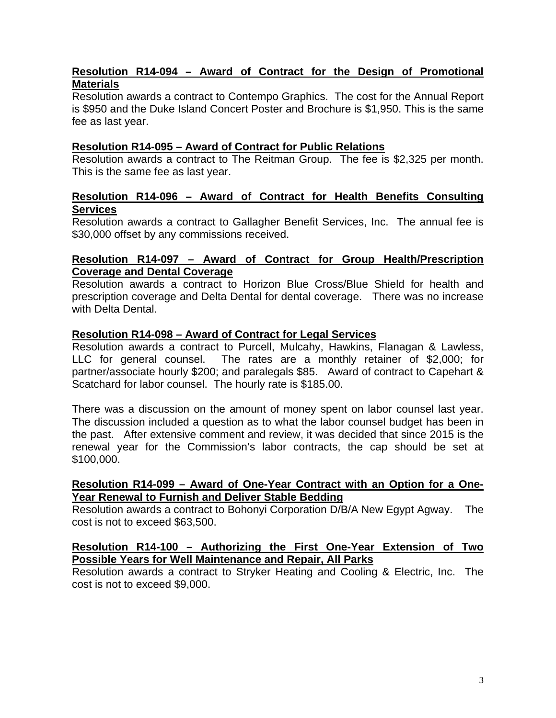# **Resolution R14-094 – Award of Contract for the Design of Promotional Materials**

Resolution awards a contract to Contempo Graphics. The cost for the Annual Report is \$950 and the Duke Island Concert Poster and Brochure is \$1,950. This is the same fee as last year.

# **Resolution R14-095 – Award of Contract for Public Relations**

Resolution awards a contract to The Reitman Group. The fee is \$2,325 per month. This is the same fee as last year.

# **Resolution R14-096 – Award of Contract for Health Benefits Consulting Services**

Resolution awards a contract to Gallagher Benefit Services, Inc. The annual fee is \$30,000 offset by any commissions received.

#### **Resolution R14-097 – Award of Contract for Group Health/Prescription Coverage and Dental Coverage**

Resolution awards a contract to Horizon Blue Cross/Blue Shield for health and prescription coverage and Delta Dental for dental coverage. There was no increase with Delta Dental.

### **Resolution R14-098 – Award of Contract for Legal Services**

Resolution awards a contract to Purcell, Mulcahy, Hawkins, Flanagan & Lawless, LLC for general counsel. The rates are a monthly retainer of \$2,000; for partner/associate hourly \$200; and paralegals \$85. Award of contract to Capehart & Scatchard for labor counsel. The hourly rate is \$185.00.

There was a discussion on the amount of money spent on labor counsel last year. The discussion included a question as to what the labor counsel budget has been in the past. After extensive comment and review, it was decided that since 2015 is the renewal year for the Commission's labor contracts, the cap should be set at \$100,000.

### **Resolution R14-099 – Award of One-Year Contract with an Option for a One-Year Renewal to Furnish and Deliver Stable Bedding**

Resolution awards a contract to Bohonyi Corporation D/B/A New Egypt Agway. The cost is not to exceed \$63,500.

### **Resolution R14-100 – Authorizing the First One-Year Extension of Two Possible Years for Well Maintenance and Repair, All Parks**

Resolution awards a contract to Stryker Heating and Cooling & Electric, Inc. The cost is not to exceed \$9,000.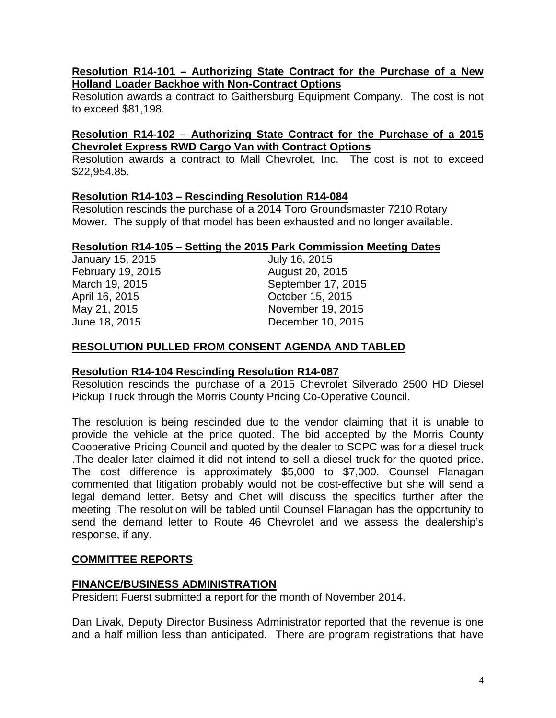# **Resolution R14-101 – Authorizing State Contract for the Purchase of a New Holland Loader Backhoe with Non-Contract Options**

Resolution awards a contract to Gaithersburg Equipment Company. The cost is not to exceed \$81,198.

# **Resolution R14-102 – Authorizing State Contract for the Purchase of a 2015 Chevrolet Express RWD Cargo Van with Contract Options**

Resolution awards a contract to Mall Chevrolet, Inc. The cost is not to exceed \$22,954.85.

### **Resolution R14-103 – Rescinding Resolution R14-084**

Resolution rescinds the purchase of a 2014 Toro Groundsmaster 7210 Rotary Mower. The supply of that model has been exhausted and no longer available.

### **Resolution R14-105 – Setting the 2015 Park Commission Meeting Dates**

January 15, 2015 July 16, 2015 February 19, 2015 August 20, 2015 April 16, 2015 October 15, 2015

March 19, 2015 September 17, 2015 May 21, 2015 November 19, 2015 June 18, 2015 December 10, 2015

### **RESOLUTION PULLED FROM CONSENT AGENDA AND TABLED**

### **Resolution R14-104 Rescinding Resolution R14-087**

Resolution rescinds the purchase of a 2015 Chevrolet Silverado 2500 HD Diesel Pickup Truck through the Morris County Pricing Co-Operative Council.

The resolution is being rescinded due to the vendor claiming that it is unable to provide the vehicle at the price quoted. The bid accepted by the Morris County Cooperative Pricing Council and quoted by the dealer to SCPC was for a diesel truck .The dealer later claimed it did not intend to sell a diesel truck for the quoted price. The cost difference is approximately \$5,000 to \$7,000. Counsel Flanagan commented that litigation probably would not be cost-effective but she will send a legal demand letter. Betsy and Chet will discuss the specifics further after the meeting .The resolution will be tabled until Counsel Flanagan has the opportunity to send the demand letter to Route 46 Chevrolet and we assess the dealership's response, if any.

### **COMMITTEE REPORTS**

# **FINANCE/BUSINESS ADMINISTRATION**

President Fuerst submitted a report for the month of November 2014.

Dan Livak, Deputy Director Business Administrator reported that the revenue is one and a half million less than anticipated. There are program registrations that have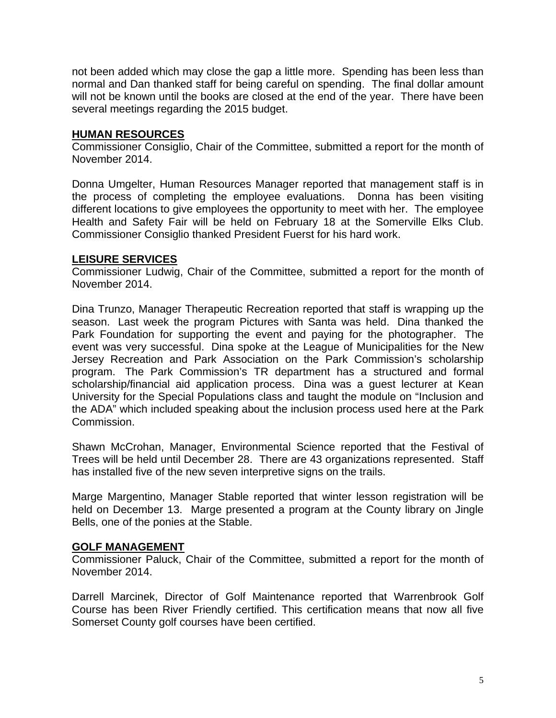not been added which may close the gap a little more. Spending has been less than normal and Dan thanked staff for being careful on spending. The final dollar amount will not be known until the books are closed at the end of the year. There have been several meetings regarding the 2015 budget.

### **HUMAN RESOURCES**

Commissioner Consiglio, Chair of the Committee, submitted a report for the month of November 2014.

Donna Umgelter, Human Resources Manager reported that management staff is in the process of completing the employee evaluations. Donna has been visiting different locations to give employees the opportunity to meet with her. The employee Health and Safety Fair will be held on February 18 at the Somerville Elks Club. Commissioner Consiglio thanked President Fuerst for his hard work.

### **LEISURE SERVICES**

Commissioner Ludwig, Chair of the Committee, submitted a report for the month of November 2014.

Dina Trunzo, Manager Therapeutic Recreation reported that staff is wrapping up the season. Last week the program Pictures with Santa was held. Dina thanked the Park Foundation for supporting the event and paying for the photographer. The event was very successful. Dina spoke at the League of Municipalities for the New Jersey Recreation and Park Association on the Park Commission's scholarship program. The Park Commission's TR department has a structured and formal scholarship/financial aid application process. Dina was a guest lecturer at Kean University for the Special Populations class and taught the module on "Inclusion and the ADA" which included speaking about the inclusion process used here at the Park Commission.

Shawn McCrohan, Manager, Environmental Science reported that the Festival of Trees will be held until December 28. There are 43 organizations represented. Staff has installed five of the new seven interpretive signs on the trails.

Marge Margentino, Manager Stable reported that winter lesson registration will be held on December 13. Marge presented a program at the County library on Jingle Bells, one of the ponies at the Stable.

### **GOLF MANAGEMENT**

Commissioner Paluck, Chair of the Committee, submitted a report for the month of November 2014.

Darrell Marcinek, Director of Golf Maintenance reported that Warrenbrook Golf Course has been River Friendly certified. This certification means that now all five Somerset County golf courses have been certified.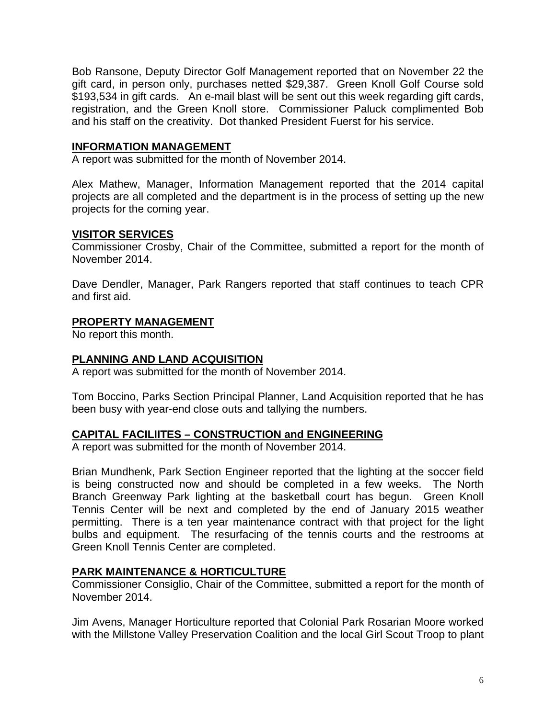Bob Ransone, Deputy Director Golf Management reported that on November 22 the gift card, in person only, purchases netted \$29,387. Green Knoll Golf Course sold \$193,534 in gift cards. An e-mail blast will be sent out this week regarding gift cards, registration, and the Green Knoll store. Commissioner Paluck complimented Bob and his staff on the creativity. Dot thanked President Fuerst for his service.

# **INFORMATION MANAGEMENT**

A report was submitted for the month of November 2014.

Alex Mathew, Manager, Information Management reported that the 2014 capital projects are all completed and the department is in the process of setting up the new projects for the coming year.

### **VISITOR SERVICES**

Commissioner Crosby, Chair of the Committee, submitted a report for the month of November 2014.

Dave Dendler, Manager, Park Rangers reported that staff continues to teach CPR and first aid.

#### **PROPERTY MANAGEMENT**

No report this month.

#### **PLANNING AND LAND ACQUISITION**

A report was submitted for the month of November 2014.

Tom Boccino, Parks Section Principal Planner, Land Acquisition reported that he has been busy with year-end close outs and tallying the numbers.

### **CAPITAL FACILIITES – CONSTRUCTION and ENGINEERING**

A report was submitted for the month of November 2014.

Brian Mundhenk, Park Section Engineer reported that the lighting at the soccer field is being constructed now and should be completed in a few weeks. The North Branch Greenway Park lighting at the basketball court has begun. Green Knoll Tennis Center will be next and completed by the end of January 2015 weather permitting. There is a ten year maintenance contract with that project for the light bulbs and equipment. The resurfacing of the tennis courts and the restrooms at Green Knoll Tennis Center are completed.

### **PARK MAINTENANCE & HORTICULTURE**

Commissioner Consiglio, Chair of the Committee, submitted a report for the month of November 2014.

Jim Avens, Manager Horticulture reported that Colonial Park Rosarian Moore worked with the Millstone Valley Preservation Coalition and the local Girl Scout Troop to plant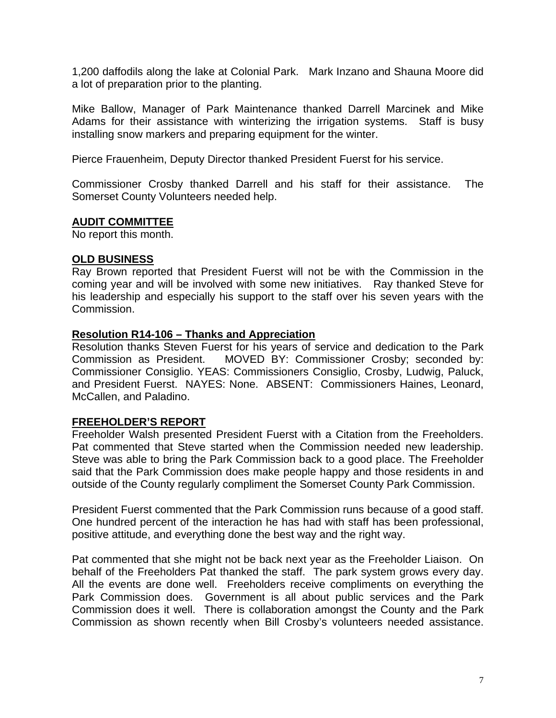1,200 daffodils along the lake at Colonial Park. Mark Inzano and Shauna Moore did a lot of preparation prior to the planting.

Mike Ballow, Manager of Park Maintenance thanked Darrell Marcinek and Mike Adams for their assistance with winterizing the irrigation systems. Staff is busy installing snow markers and preparing equipment for the winter.

Pierce Frauenheim, Deputy Director thanked President Fuerst for his service.

Commissioner Crosby thanked Darrell and his staff for their assistance. The Somerset County Volunteers needed help.

#### **AUDIT COMMITTEE**

No report this month.

#### **OLD BUSINESS**

Ray Brown reported that President Fuerst will not be with the Commission in the coming year and will be involved with some new initiatives. Ray thanked Steve for his leadership and especially his support to the staff over his seven years with the Commission.

#### **Resolution R14-106 – Thanks and Appreciation**

Resolution thanks Steven Fuerst for his years of service and dedication to the Park Commission as President. MOVED BY: Commissioner Crosby; seconded by: Commissioner Consiglio. YEAS: Commissioners Consiglio, Crosby, Ludwig, Paluck, and President Fuerst. NAYES: None. ABSENT: Commissioners Haines, Leonard, McCallen, and Paladino.

### **FREEHOLDER'S REPORT**

Freeholder Walsh presented President Fuerst with a Citation from the Freeholders. Pat commented that Steve started when the Commission needed new leadership. Steve was able to bring the Park Commission back to a good place. The Freeholder said that the Park Commission does make people happy and those residents in and outside of the County regularly compliment the Somerset County Park Commission.

President Fuerst commented that the Park Commission runs because of a good staff. One hundred percent of the interaction he has had with staff has been professional, positive attitude, and everything done the best way and the right way.

Pat commented that she might not be back next year as the Freeholder Liaison. On behalf of the Freeholders Pat thanked the staff. The park system grows every day. All the events are done well. Freeholders receive compliments on everything the Park Commission does. Government is all about public services and the Park Commission does it well. There is collaboration amongst the County and the Park Commission as shown recently when Bill Crosby's volunteers needed assistance.